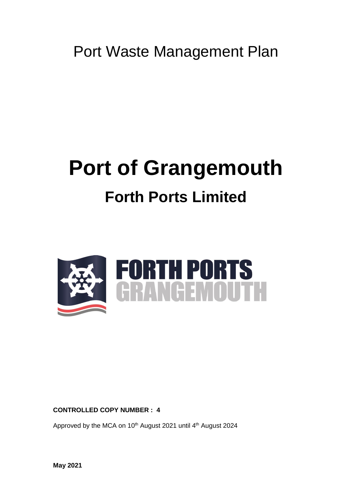Port Waste Management Plan

# **Port of Grangemouth Forth Ports Limited**



**CONTROLLED COPY NUMBER : 4**

Approved by the MCA on 10<sup>th</sup> August 2021 until 4<sup>th</sup> August 2024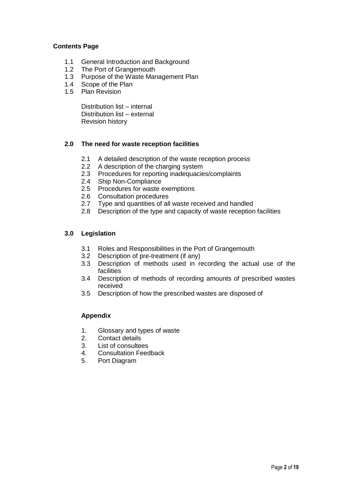#### **Contents Page**

- 1.1 General Introduction and Background
- 1.2 The Port of Grangemouth
- 1.3 Purpose of the Waste Management Plan
- 1.4 Scope of the Plan
- 1.5 Plan Revision

Distribution list – internal Distribution list – external Revision history

# **2.0 The need for waste reception facilities**

- 2.1 A detailed description of the waste reception process
- 2.2 A description of the charging system
- 2.3 Procedures for reporting inadequacies/complaints
- 2.4 Ship Non-Compliance
- 2.5 Procedures for waste exemptions
- 2.6 Consultation procedures
- 2.7 Type and quantities of all waste received and handled
- 2.8 Description of the type and capacity of waste reception facilities

#### **3.0 Legislation**

- 3.1 Roles and Responsibilities in the Port of Grangemouth
- 3.2 Description of pre-treatment (if any)
- 3.3 Description of methods used in recording the actual use of the facilities
- 3.4 Description of methods of recording amounts of prescribed wastes received
- 3.5 Description of how the prescribed wastes are disposed of

# **Appendix**

- 1. Glossary and types of waste
- 2. Contact details<br>3. List of consulter
- List of consultees
- 4. Consultation Feedback
- 5. Port Diagram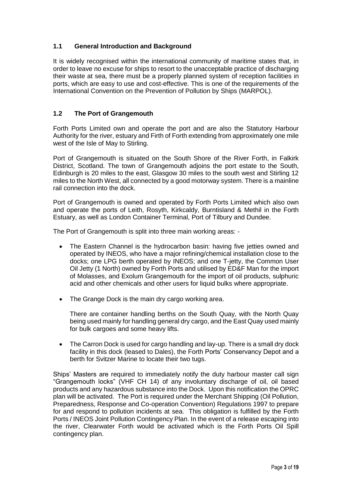# **1.1 General Introduction and Background**

It is widely recognised within the international community of maritime states that, in order to leave no excuse for ships to resort to the unacceptable practice of discharging their waste at sea, there must be a properly planned system of reception facilities in ports, which are easy to use and cost-effective. This is one of the requirements of the International Convention on the Prevention of Pollution by Ships (MARPOL).

# **1.2 The Port of Grangemouth**

Forth Ports Limited own and operate the port and are also the Statutory Harbour Authority for the river, estuary and Firth of Forth extending from approximately one mile west of the Isle of May to Stirling.

Port of Grangemouth is situated on the South Shore of the River Forth, in Falkirk District, Scotland. The town of Grangemouth adjoins the port estate to the South, Edinburgh is 20 miles to the east, Glasgow 30 miles to the south west and Stirling 12 miles to the North West, all connected by a good motorway system. There is a mainline rail connection into the dock.

Port of Grangemouth is owned and operated by Forth Ports Limited which also own and operate the ports of Leith, Rosyth, Kirkcaldy, Burntisland & Methil in the Forth Estuary, as well as London Container Terminal, Port of Tilbury and Dundee.

The Port of Grangemouth is split into three main working areas: -

- The Eastern Channel is the hydrocarbon basin: having five jetties owned and operated by INEOS, who have a major refining/chemical installation close to the docks; one LPG berth operated by INEOS; and one T-jetty, the Common User Oil Jetty (1 North) owned by Forth Ports and utilised by ED&F Man for the import of Molasses, and Exolum Grangemouth for the import of oil products, sulphuric acid and other chemicals and other users for liquid bulks where appropriate.
- The Grange Dock is the main dry cargo working area.

There are container handling berths on the South Quay, with the North Quay being used mainly for handling general dry cargo, and the East Quay used mainly for bulk cargoes and some heavy lifts.

 The Carron Dock is used for cargo handling and lay-up. There is a small dry dock facility in this dock (leased to Dales), the Forth Ports' Conservancy Depot and a berth for Svitzer Marine to locate their two tugs.

Ships' Masters are required to immediately notify the duty harbour master call sign "Grangemouth locks" (VHF CH 14) of any involuntary discharge of oil, oil based products and any hazardous substance into the Dock. Upon this notification the OPRC plan will be activated. The Port is required under the Merchant Shipping (Oil Pollution, Preparedness, Response and Co-operation Convention) Regulations 1997 to prepare for and respond to pollution incidents at sea. This obligation is fulfilled by the Forth Ports / INEOS Joint Pollution Contingency Plan. In the event of a release escaping into the river, Clearwater Forth would be activated which is the Forth Ports Oil Spill contingency plan.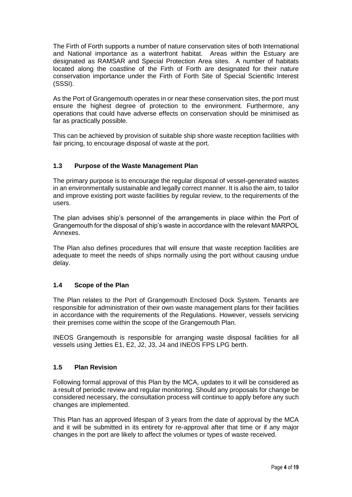The Firth of Forth supports a number of nature conservation sites of both International and National importance as a waterfront habitat. Areas within the Estuary are designated as RAMSAR and Special Protection Area sites. A number of habitats located along the coastline of the Firth of Forth are designated for their nature conservation importance under the Firth of Forth Site of Special Scientific Interest (SSSI).

As the Port of Grangemouth operates in or near these conservation sites, the port must ensure the highest degree of protection to the environment. Furthermore, any operations that could have adverse effects on conservation should be minimised as far as practically possible.

This can be achieved by provision of suitable ship shore waste reception facilities with fair pricing, to encourage disposal of waste at the port.

#### **1.3 Purpose of the Waste Management Plan**

The primary purpose is to encourage the regular disposal of vessel-generated wastes in an environmentally sustainable and legally correct manner. It is also the aim, to tailor and improve existing port waste facilities by regular review, to the requirements of the users.

The plan advises ship's personnel of the arrangements in place within the Port of Grangemouth for the disposal of ship's waste in accordance with the relevant MARPOL Annexes.

The Plan also defines procedures that will ensure that waste reception facilities are adequate to meet the needs of ships normally using the port without causing undue delay.

#### **1.4 Scope of the Plan**

The Plan relates to the Port of Grangemouth Enclosed Dock System. Tenants are responsible for administration of their own waste management plans for their facilities in accordance with the requirements of the Regulations. However, vessels servicing their premises come within the scope of the Grangemouth Plan.

INEOS Grangemouth is responsible for arranging waste disposal facilities for all vessels using Jetties E1, E2, J2, J3, J4 and INEOS FPS LPG berth.

#### **1.5 Plan Revision**

Following formal approval of this Plan by the MCA, updates to it will be considered as a result of periodic review and regular monitoring. Should any proposals for change be considered necessary, the consultation process will continue to apply before any such changes are implemented.

This Plan has an approved lifespan of 3 years from the date of approval by the MCA and it will be submitted in its entirety for re-approval after that time or if any major changes in the port are likely to affect the volumes or types of waste received.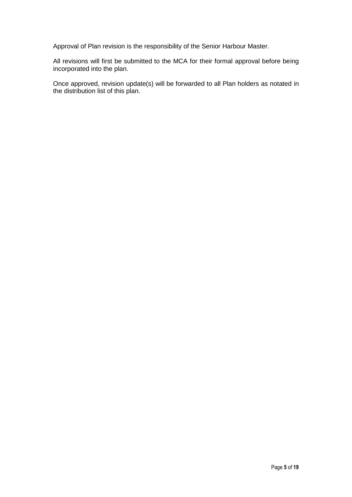Approval of Plan revision is the responsibility of the Senior Harbour Master.

All revisions will first be submitted to the MCA for their formal approval before being incorporated into the plan.

Once approved, revision update(s) will be forwarded to all Plan holders as notated in the distribution list of this plan.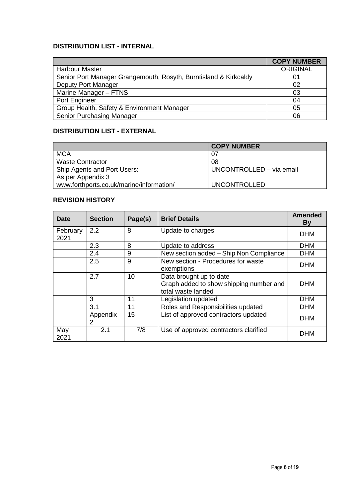# **DISTRIBUTION LIST - INTERNAL**

|                                                                  | <b>COPY NUMBER</b> |
|------------------------------------------------------------------|--------------------|
| <b>Harbour Master</b>                                            | <b>ORIGINAL</b>    |
| Senior Port Manager Grangemouth, Rosyth, Burntisland & Kirkcaldy | 01                 |
| Deputy Port Manager                                              | 02                 |
| Marine Manager - FTNS                                            | 03                 |
| Port Engineer                                                    | 04                 |
| Group Health, Safety & Environment Manager                       | 05                 |
| <b>Senior Purchasing Manager</b>                                 | 06                 |

# **DISTRIBUTION LIST - EXTERNAL**

|                                          | <b>COPY NUMBER</b>       |
|------------------------------------------|--------------------------|
| <b>MCA</b>                               | 07                       |
| <b>Waste Contractor</b>                  | 08                       |
| Ship Agents and Port Users:              | UNCONTROLLED - via email |
| As per Appendix 3                        |                          |
| www.forthports.co.uk/marine/information/ | <b>UNCONTROLLED</b>      |

# **REVISION HISTORY**

| Date             | <b>Section</b> | Page(s) | <b>Brief Details</b>                                                                     | <b>Amended</b><br><b>By</b> |
|------------------|----------------|---------|------------------------------------------------------------------------------------------|-----------------------------|
| February<br>2021 | 2.2            | 8       | Update to charges                                                                        | <b>DHM</b>                  |
|                  | 2.3            | 8       | Update to address                                                                        | <b>DHM</b>                  |
|                  | 2.4            | 9       | New section added - Ship Non Compliance                                                  | <b>DHM</b>                  |
|                  | 2.5            | 9       | New section - Procedures for waste<br>exemptions                                         | <b>DHM</b>                  |
|                  | 2.7            | 10      | Data brought up to date<br>Graph added to show shipping number and<br>total waste landed | <b>DHM</b>                  |
|                  | 3              | 11      | Legislation updated                                                                      | <b>DHM</b>                  |
|                  | 3.1            | 11      | Roles and Responsibilities updated                                                       | <b>DHM</b>                  |
|                  | Appendix<br>2  | 15      | List of approved contractors updated                                                     | <b>DHM</b>                  |
| May<br>2021      | 2.1            | 7/8     | Use of approved contractors clarified                                                    | <b>DHM</b>                  |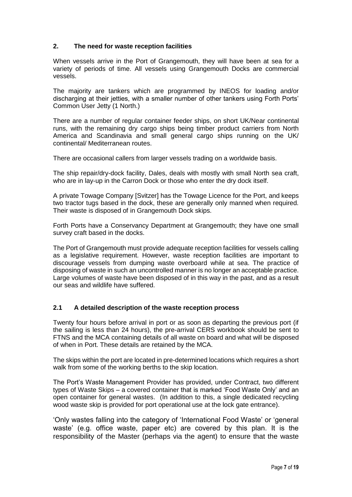### **2. The need for waste reception facilities**

When vessels arrive in the Port of Grangemouth, they will have been at sea for a variety of periods of time. All vessels using Grangemouth Docks are commercial vessels.

The majority are tankers which are programmed by INEOS for loading and/or discharging at their jetties, with a smaller number of other tankers using Forth Ports' Common User Jetty (1 North.)

There are a number of regular container feeder ships, on short UK/Near continental runs, with the remaining dry cargo ships being timber product carriers from North America and Scandinavia and small general cargo ships running on the UK/ continental/ Mediterranean routes.

There are occasional callers from larger vessels trading on a worldwide basis.

The ship repair/dry-dock facility, Dales, deals with mostly with small North sea craft, who are in lay-up in the Carron Dock or those who enter the dry dock itself.

A private Towage Company [Svitzer] has the Towage Licence for the Port, and keeps two tractor tugs based in the dock, these are generally only manned when required. Their waste is disposed of in Grangemouth Dock skips.

Forth Ports have a Conservancy Department at Grangemouth; they have one small survey craft based in the docks.

The Port of Grangemouth must provide adequate reception facilities for vessels calling as a legislative requirement. However, waste reception facilities are important to discourage vessels from dumping waste overboard while at sea. The practice of disposing of waste in such an uncontrolled manner is no longer an acceptable practice. Large volumes of waste have been disposed of in this way in the past, and as a result our seas and wildlife have suffered.

#### **2.1 A detailed description of the waste reception process**

Twenty four hours before arrival in port or as soon as departing the previous port (if the sailing is less than 24 hours), the pre-arrival CERS workbook should be sent to FTNS and the MCA containing details of all waste on board and what will be disposed of when in Port. These details are retained by the MCA.

The skips within the port are located in pre-determined locations which requires a short walk from some of the working berths to the skip location.

The Port's Waste Management Provider has provided, under Contract, two different types of Waste Skips – a covered container that is marked 'Food Waste Only' and an open container for general wastes. (In addition to this, a single dedicated recycling wood waste skip is provided for port operational use at the lock gate entrance).

'Only wastes falling into the category of 'International Food Waste' or 'general waste' (e.g. office waste, paper etc) are covered by this plan. It is the responsibility of the Master (perhaps via the agent) to ensure that the waste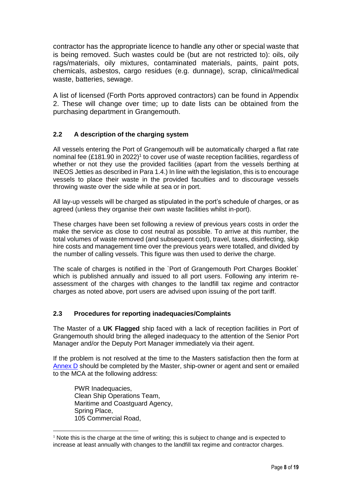contractor has the appropriate licence to handle any other or special waste that is being removed. Such wastes could be (but are not restricted to): oils, oily rags/materials, oily mixtures, contaminated materials, paints, paint pots, chemicals, asbestos, cargo residues (e.g. dunnage), scrap, clinical/medical waste, batteries, sewage.

A list of licensed (Forth Ports approved contractors) can be found in Appendix 2. These will change over time; up to date lists can be obtained from the purchasing department in Grangemouth.

# **2.2 A description of the charging system**

All vessels entering the Port of Grangemouth will be automatically charged a flat rate nominal fee (£181.90 in 2022)<sup>1</sup> to cover use of waste reception facilities, regardless of whether or not they use the provided facilities (apart from the vessels berthing at INEOS Jetties as described in Para 1.4.) In line with the legislation, this is to encourage vessels to place their waste in the provided faculties and to discourage vessels throwing waste over the side while at sea or in port.

All lay-up vessels will be charged as stipulated in the port's schedule of charges, or as agreed (unless they organise their own waste facilities whilst in-port).

These charges have been set following a review of previous years costs in order the make the service as close to cost neutral as possible. To arrive at this number, the total volumes of waste removed (and subsequent cost), travel, taxes, disinfecting, skip hire costs and management time over the previous years were totalled, and divided by the number of calling vessels. This figure was then used to derive the charge.

The scale of charges is notified in the `Port of Grangemouth Port Charges Booklet` which is published annually and issued to all port users. Following any interim reassessment of the charges with changes to the landfill tax regime and contractor charges as noted above, port users are advised upon issuing of the port tariff.

#### **2.3 Procedures for reporting inadequacies/Complaints**

The Master of a **UK Flagged** ship faced with a lack of reception facilities in Port of Grangemouth should bring the alleged inadequacy to the attention of the Senior Port Manager and/or the Deputy Port Manager immediately via their agent.

If the problem is not resolved at the time to the Masters satisfaction then the form at [Annex D](https://assets.publishing.service.gov.uk/government/uploads/system/uploads/attachment_data/file/608427/MGN_563_rev_1.pdf) should be completed by the Master, ship-owner or agent and sent or emailed to the MCA at the following address:

PWR Inadequacies, Clean Ship Operations Team, Maritime and Coastguard Agency, Spring Place, 105 Commercial Road,

 $\overline{a}$ 

 $1$  Note this is the charge at the time of writing; this is subject to change and is expected to increase at least annually with changes to the landfill tax regime and contractor charges.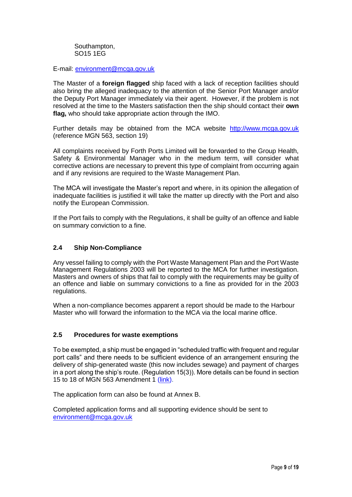Southampton, SO15 1EG

E-mail: [environment@mcga.gov.uk](mailto:environment@mcga.gov.uk)

The Master of a **foreign flagged** ship faced with a lack of reception facilities should also bring the alleged inadequacy to the attention of the Senior Port Manager and/or the Deputy Port Manager immediately via their agent. However, if the problem is not resolved at the time to the Masters satisfaction then the ship should contact their **own flag,** who should take appropriate action through the IMO.

Further details may be obtained from the MCA website [http://www.mcga.gov.uk](http://www.mcga.gov.uk/) (reference MGN 563, section 19)

All complaints received by Forth Ports Limited will be forwarded to the Group Health, Safety & Environmental Manager who in the medium term, will consider what corrective actions are necessary to prevent this type of complaint from occurring again and if any revisions are required to the Waste Management Plan.

The MCA will investigate the Master's report and where, in its opinion the allegation of inadequate facilities is justified it will take the matter up directly with the Port and also notify the European Commission.

If the Port fails to comply with the Regulations, it shall be guilty of an offence and liable on summary conviction to a fine.

#### **2.4 Ship Non-Compliance**

Any vessel failing to comply with the Port Waste Management Plan and the Port Waste Management Regulations 2003 will be reported to the MCA for further investigation. Masters and owners of ships that fail to comply with the requirements may be guilty of an offence and liable on summary convictions to a fine as provided for in the 2003 regulations.

When a non-compliance becomes apparent a report should be made to the Harbour Master who will forward the information to the MCA via the local marine office.

#### **2.5 Procedures for waste exemptions**

To be exempted, a ship must be engaged in "scheduled traffic with frequent and regular port calls" and there needs to be sufficient evidence of an arrangement ensuring the delivery of ship-generated waste (this now includes sewage) and payment of charges in a port along the ship's route. (Regulation 15(3)). More details can be found in section 15 to 18 of MGN 563 Amendment 1 [\(link\)](https://protect-eu.mimecast.com/s/b49WCA6LYuNJm6ESGZqDN?domain=assets.publishing.service.gov.uk).

The application form can also be found at Annex B.

Completed application forms and all supporting evidence should be sent to [environment@mcga.gov.uk](mailto:environment@mcga.gov.uk)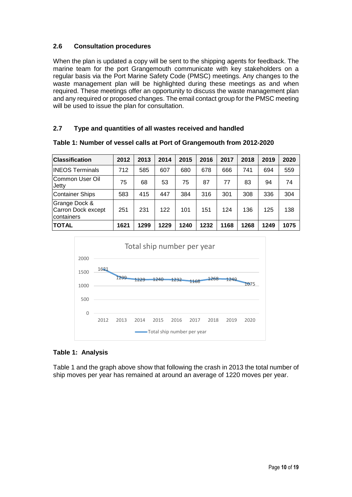# **2.6 Consultation procedures**

When the plan is updated a copy will be sent to the shipping agents for feedback. The marine team for the port Grangemouth communicate with key stakeholders on a regular basis via the Port Marine Safety Code (PMSC) meetings. Any changes to the waste management plan will be highlighted during these meetings as and when required. These meetings offer an opportunity to discuss the waste management plan and any required or proposed changes. The email contact group for the PMSC meeting will be used to issue the plan for consultation.

#### **2.7 Type and quantities of all wastes received and handled**

| <b>Classification</b>                              | 2012 | 2013 | 2014 | 2015 | 2016 | 2017 | 2018 | 2019 | 2020 |
|----------------------------------------------------|------|------|------|------|------|------|------|------|------|
| <b>INEOS Terminals</b>                             | 712  | 585  | 607  | 680  | 678  | 666  | 741  | 694  | 559  |
| Common User Oil<br>Jetty                           | 75   | 68   | 53   | 75   | 87   | 77   | 83   | 94   | 74   |
| <b>Container Ships</b>                             | 583  | 415  | 447  | 384  | 316  | 301  | 308  | 336  | 304  |
| Grange Dock &<br>Carron Dock except<br>Icontainers | 251  | 231  | 122  | 101  | 151  | 124  | 136  | 125  | 138  |
| <b>TOTAL</b>                                       | 1621 | 1299 | 1229 | 1240 | 1232 | 1168 | 1268 | 1249 | 1075 |

**Table 1: Number of vessel calls at Port of Grangemouth from 2012-2020**



#### **Table 1: Analysis**

Table 1 and the graph above show that following the crash in 2013 the total number of ship moves per year has remained at around an average of 1220 moves per year.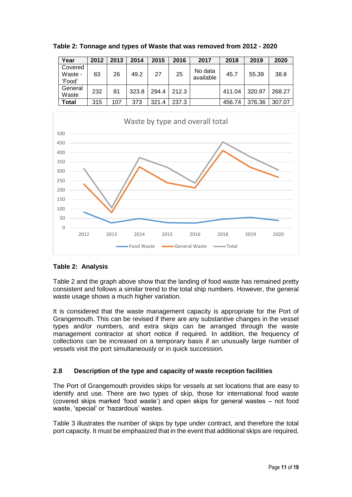| Year                         | 2012 | 2013 | 2014  | 2015  | 2016  | 2017                 | 2018   | 2019   | 2020   |
|------------------------------|------|------|-------|-------|-------|----------------------|--------|--------|--------|
| Covered<br>Waste -<br>'Food' | 83   | 26   | 49.2  | 27    | 25    | No data<br>available | 45.7   | 55.39  | 38.8   |
| General<br>Waste             | 232  | 81   | 323.8 | 294.4 | 212.3 |                      | 411.04 | 320.97 | 268.27 |
| Total                        | 315  | 107  | 373   | 321.4 | 237.3 |                      | 456.74 | 376.36 | 307.07 |

**Table 2: Tonnage and types of Waste that was removed from 2012 - 2020**



# **Table 2: Analysis**

Table 2 and the graph above show that the landing of food waste has remained pretty consistent and follows a similar trend to the total ship numbers. However, the general waste usage shows a much higher variation.

It is considered that the waste management capacity is appropriate for the Port of Grangemouth. This can be revised if there are any substantive changes in the vessel types and/or numbers, and extra skips can be arranged through the waste management contractor at short notice if required. In addition, the frequency of collections can be increased on a temporary basis if an unusually large number of vessels visit the port simultaneously or in quick succession.

# **2.8 Description of the type and capacity of waste reception facilities**

The Port of Grangemouth provides skips for vessels at set locations that are easy to identify and use. There are two types of skip, those for international food waste (covered skips marked 'food waste') and open skips for general wastes – not food waste, 'special' or 'hazardous' wastes.

Table 3 illustrates the number of skips by type under contract, and therefore the total port capacity. It must be emphasized that in the event that additional skips are required,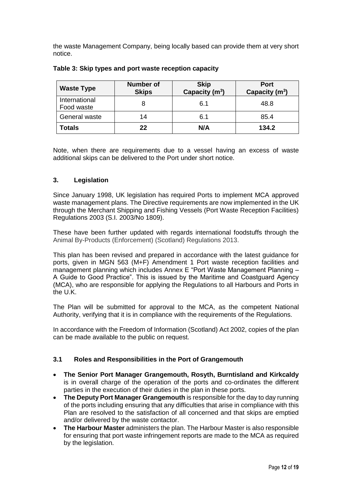the waste Management Company, being locally based can provide them at very short notice.

| <b>Waste Type</b>           | <b>Number of</b><br><b>Skips</b> | <b>Skip</b><br>Capacity $(m^3)$ | Port<br>Capacity $(m^3)$ |
|-----------------------------|----------------------------------|---------------------------------|--------------------------|
| International<br>Food waste |                                  | 6.1                             | 48.8                     |
| General waste               | 14                               | 6.1                             | 85.4                     |
| Totals                      | 22                               | N/A                             | 134.2                    |

#### **Table 3: Skip types and port waste reception capacity**

Note, when there are requirements due to a vessel having an excess of waste additional skips can be delivered to the Port under short notice.

#### **3. Legislation**

Since January 1998, UK legislation has required Ports to implement MCA approved waste management plans. The Directive requirements are now implemented in the UK through the Merchant Shipping and Fishing Vessels (Port Waste Reception Facilities) Regulations 2003 (S.I. 2003/No 1809).

These have been further updated with regards international foodstuffs through the Animal By-Products (Enforcement) (Scotland) Regulations 2013.

This plan has been revised and prepared in accordance with the latest guidance for ports, given in MGN 563 (M+F) Amendment 1 Port waste reception facilities and management planning which includes Annex E "Port Waste Management Planning – A Guide to Good Practice". This is issued by the Maritime and Coastguard Agency (MCA), who are responsible for applying the Regulations to all Harbours and Ports in the U.K.

The Plan will be submitted for approval to the MCA, as the competent National Authority, verifying that it is in compliance with the requirements of the Regulations.

In accordance with the Freedom of Information (Scotland) Act 2002, copies of the plan can be made available to the public on request.

#### **3.1 Roles and Responsibilities in the Port of Grangemouth**

- **The Senior Port Manager Grangemouth, Rosyth, Burntisland and Kirkcaldy** is in overall charge of the operation of the ports and co-ordinates the different parties in the execution of their duties in the plan in these ports.
- **The Deputy Port Manager Grangemouth** is responsible for the day to day running of the ports including ensuring that any difficulties that arise in compliance with this Plan are resolved to the satisfaction of all concerned and that skips are emptied and/or delivered by the waste contactor.
- **The Harbour Master** administers the plan. The Harbour Master is also responsible for ensuring that port waste infringement reports are made to the MCA as required by the legislation.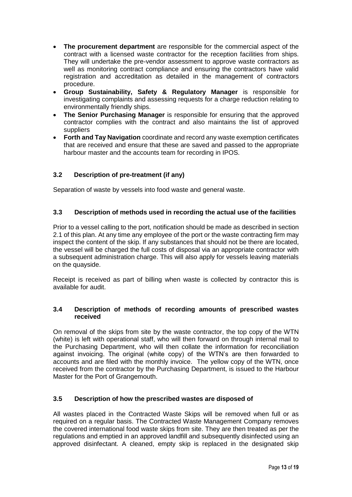- **The procurement department** are responsible for the commercial aspect of the contract with a licensed waste contractor for the reception facilities from ships. They will undertake the pre-vendor assessment to approve waste contractors as well as monitoring contract compliance and ensuring the contractors have valid registration and accreditation as detailed in the management of contractors procedure.
- **Group Sustainability, Safety & Regulatory Manager** is responsible for investigating complaints and assessing requests for a charge reduction relating to environmentally friendly ships.
- **The Senior Purchasing Manager** is responsible for ensuring that the approved contractor complies with the contract and also maintains the list of approved suppliers
- **Forth and Tay Navigation** coordinate and record any waste exemption certificates that are received and ensure that these are saved and passed to the appropriate harbour master and the accounts team for recording in IPOS.

# **3.2 Description of pre-treatment (if any)**

Separation of waste by vessels into food waste and general waste.

#### **3.3 Description of methods used in recording the actual use of the facilities**

Prior to a vessel calling to the port, notification should be made as described in section 2.1 of this plan. At any time any employee of the port or the waste contracting firm may inspect the content of the skip. If any substances that should not be there are located, the vessel will be charged the full costs of disposal via an appropriate contractor with a subsequent administration charge. This will also apply for vessels leaving materials on the quayside.

Receipt is received as part of billing when waste is collected by contractor this is available for audit.

#### **3.4 Description of methods of recording amounts of prescribed wastes received**

On removal of the skips from site by the waste contractor, the top copy of the WTN (white) is left with operational staff, who will then forward on through internal mail to the Purchasing Department, who will then collate the information for reconciliation against invoicing. The original (white copy) of the WTN's are then forwarded to accounts and are filed with the monthly invoice. The yellow copy of the WTN, once received from the contractor by the Purchasing Department, is issued to the Harbour Master for the Port of Grangemouth.

#### **3.5 Description of how the prescribed wastes are disposed of**

All wastes placed in the Contracted Waste Skips will be removed when full or as required on a regular basis. The Contracted Waste Management Company removes the covered international food waste skips from site. They are then treated as per the regulations and emptied in an approved landfill and subsequently disinfected using an approved disinfectant. A cleaned, empty skip is replaced in the designated skip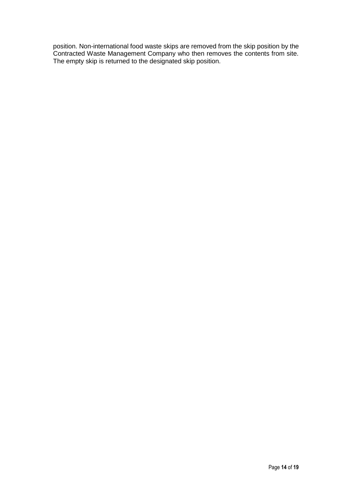position. Non-international food waste skips are removed from the skip position by the Contracted Waste Management Company who then removes the contents from site. The empty skip is returned to the designated skip position.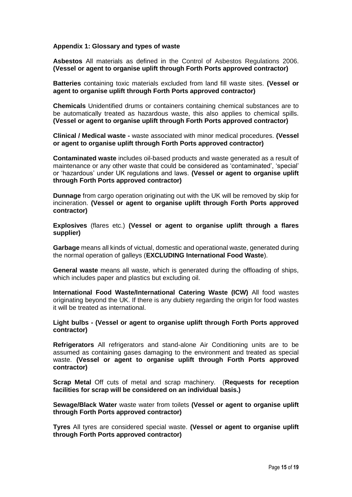#### **Appendix 1: Glossary and types of waste**

**Asbestos** All materials as defined in the Control of Asbestos Regulations 2006. **(Vessel or agent to organise uplift through Forth Ports approved contractor)**

**Batteries** containing toxic materials excluded from land fill waste sites. **(Vessel or agent to organise uplift through Forth Ports approved contractor)**

**Chemicals** Unidentified drums or containers containing chemical substances are to be automatically treated as hazardous waste, this also applies to chemical spills. **(Vessel or agent to organise uplift through Forth Ports approved contractor)**

**Clinical / Medical waste -** waste associated with minor medical procedures. **(Vessel or agent to organise uplift through Forth Ports approved contractor)**

**Contaminated waste** includes oil-based products and waste generated as a result of maintenance or any other waste that could be considered as 'contaminated', 'special' or 'hazardous' under UK regulations and laws. **(Vessel or agent to organise uplift through Forth Ports approved contractor)**

**Dunnage** from cargo operation originating out with the UK will be removed by skip for incineration. **(Vessel or agent to organise uplift through Forth Ports approved contractor)**

**Explosives** (flares etc.) **(Vessel or agent to organise uplift through a flares supplier)**

**Garbage** means all kinds of victual, domestic and operational waste, generated during the normal operation of galleys (**EXCLUDING International Food Waste**).

**General waste** means all waste, which is generated during the offloading of ships, which includes paper and plastics but excluding oil.

**International Food Waste/International Catering Waste (ICW)** All food wastes originating beyond the UK. If there is any dubiety regarding the origin for food wastes it will be treated as international.

**Light bulbs - (Vessel or agent to organise uplift through Forth Ports approved contractor)**

**Refrigerators** All refrigerators and stand-alone Air Conditioning units are to be assumed as containing gases damaging to the environment and treated as special waste. **(Vessel or agent to organise uplift through Forth Ports approved contractor)**

**Scrap Metal** Off cuts of metal and scrap machinery. (**Requests for reception facilities for scrap will be considered on an individual basis.)**

**Sewage/Black Water** waste water from toilets **(Vessel or agent to organise uplift through Forth Ports approved contractor)**

**Tyres** All tyres are considered special waste. **(Vessel or agent to organise uplift through Forth Ports approved contractor)**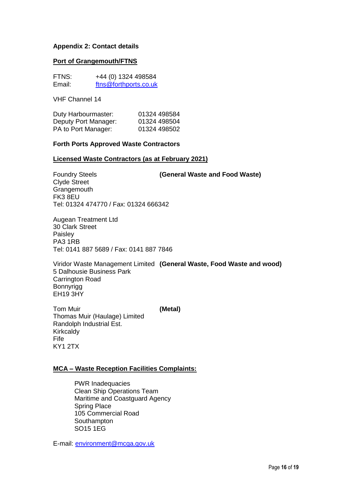#### **Appendix 2: Contact details**

#### **Port of Grangemouth/FTNS**

| FTNS:  | +44 (0) 1324 498584   |
|--------|-----------------------|
| Email: | ftns@forthports.co.uk |

VHF Channel 14

| Duty Harbourmaster:  | 01324 498584 |
|----------------------|--------------|
| Deputy Port Manager: | 01324 498504 |
| PA to Port Manager:  | 01324 498502 |

#### **Forth Ports Approved Waste Contractors**

#### **Licensed Waste Contractors (as at February 2021)**

Foundry Steels **(General Waste and Food Waste)** Clyde Street **Grangemouth** FK3 8EU Tel: 01324 474770 / Fax: 01324 666342

Augean Treatment Ltd 30 Clark Street Paisley PA3 1RB Tel: 0141 887 5689 / Fax: 0141 887 7846

Viridor Waste Management Limited **(General Waste, Food Waste and wood)** 5 Dalhousie Business Park Carrington Road Bonnyrigg EH19 3HY

Tom Muir **(Metal)** Thomas Muir (Haulage) Limited Randolph Industrial Est. Kirkcaldy Fife KY1 2TX

#### **MCA – Waste Reception Facilities Complaints:**

PWR Inadequacies Clean Ship Operations Team Maritime and Coastguard Agency Spring Place 105 Commercial Road **Southampton** SO15 1EG

E-mail: [environment@mcga.gov.uk](mailto:environment@mcga.gov.uk)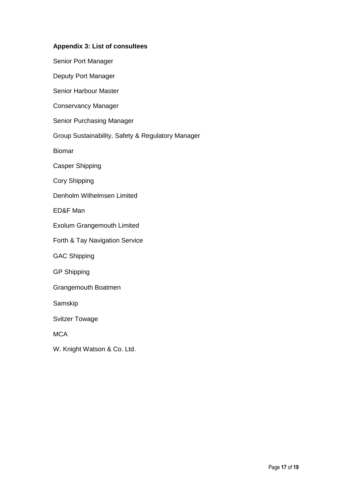#### **Appendix 3: List of consultees**

Senior Port Manager Deputy Port Manager Senior Harbour Master Conservancy Manager Senior Purchasing Manager Group Sustainability, Safety & Regulatory Manager Biomar Casper Shipping Cory Shipping Denholm Wilhelmsen Limited ED&F Man Exolum Grangemouth Limited Forth & Tay Navigation Service GAC Shipping GP Shipping Grangemouth Boatmen Samskip Svitzer Towage **MCA** 

W. Knight Watson & Co. Ltd.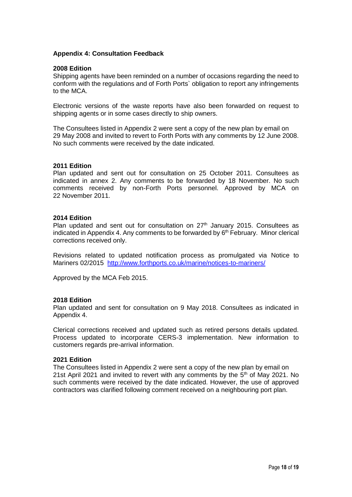#### **Appendix 4: Consultation Feedback**

#### **2008 Edition**

Shipping agents have been reminded on a number of occasions regarding the need to conform with the regulations and of Forth Ports` obligation to report any infringements to the MCA.

Electronic versions of the waste reports have also been forwarded on request to shipping agents or in some cases directly to ship owners.

The Consultees listed in Appendix 2 were sent a copy of the new plan by email on 29 May 2008 and invited to revert to Forth Ports with any comments by 12 June 2008. No such comments were received by the date indicated.

#### **2011 Edition**

Plan updated and sent out for consultation on 25 October 2011. Consultees as indicated in annex 2. Any comments to be forwarded by 18 November. No such comments received by non-Forth Ports personnel. Approved by MCA on 22 November 2011.

#### **2014 Edition**

Plan updated and sent out for consultation on  $27<sup>th</sup>$  January 2015. Consultees as indicated in Appendix 4. Any comments to be forwarded by 6<sup>th</sup> February. Minor clerical corrections received only.

Revisions related to updated notification process as promulgated via Notice to Mariners 02/2015 <http://www.forthports.co.uk/marine/notices-to-mariners/>

Approved by the MCA Feb 2015.

#### **2018 Edition**

Plan updated and sent for consultation on 9 May 2018. Consultees as indicated in Appendix 4.

Clerical corrections received and updated such as retired persons details updated. Process updated to incorporate CERS-3 implementation. New information to customers regards pre-arrival information.

#### **2021 Edition**

The Consultees listed in Appendix 2 were sent a copy of the new plan by email on 21st April 2021 and invited to revert with any comments by the  $5<sup>th</sup>$  of May 2021. No such comments were received by the date indicated. However, the use of approved contractors was clarified following comment received on a neighbouring port plan.